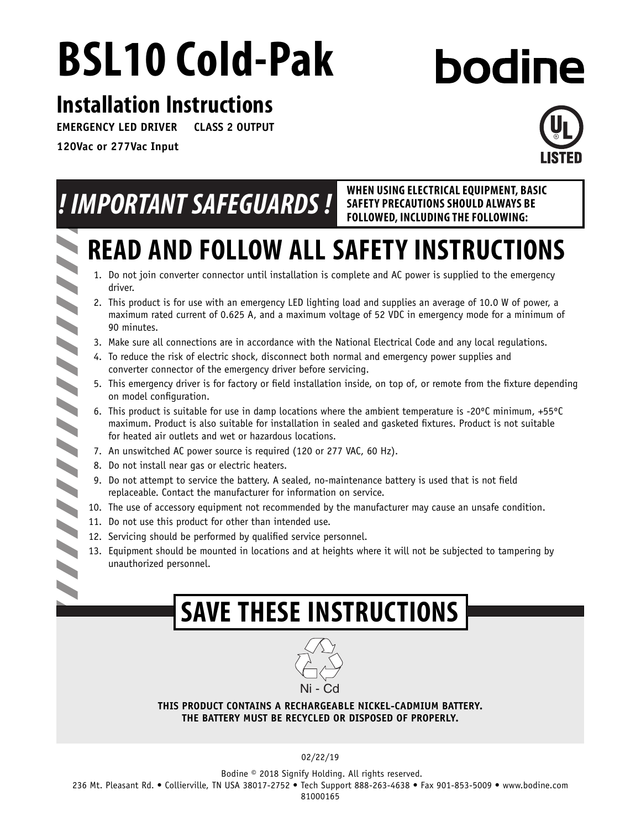# **BSL10 Cold-Pak**

# **bodine**

# **Installation Instructions**

**EMERGENCY LED DRIVER CLASS 2 OUTPUT**

**120Vac or 277Vac Input**



|  | WHEN USING ELECTRICAL EQUIPMENT, BASIC<br>! IMPORTANT SAFEGUARDS!<br><b>SAFETY PRECAUTIONS SHOULD ALWAYS BE</b><br>FOLLOWED, INCLUDING THE FOLLOWING:                                                                                                                                                      |  |  |
|--|------------------------------------------------------------------------------------------------------------------------------------------------------------------------------------------------------------------------------------------------------------------------------------------------------------|--|--|
|  | <b>READ AND FOLLOW ALL SAFETY INSTRUCTIONS</b>                                                                                                                                                                                                                                                             |  |  |
|  | 1. Do not join converter connector until installation is complete and AC power is supplied to the emergency<br>driver.                                                                                                                                                                                     |  |  |
|  | 2. This product is for use with an emergency LED lighting load and supplies an average of 10.0 W of power, a<br>maximum rated current of 0.625 A, and a maximum voltage of 52 VDC in emergency mode for a minimum of<br>90 minutes.                                                                        |  |  |
|  | 3. Make sure all connections are in accordance with the National Electrical Code and any local regulations.                                                                                                                                                                                                |  |  |
|  | 4. To reduce the risk of electric shock, disconnect both normal and emergency power supplies and<br>converter connector of the emergency driver before servicing.                                                                                                                                          |  |  |
|  | 5. This emergency driver is for factory or field installation inside, on top of, or remote from the fixture depending<br>on model configuration.                                                                                                                                                           |  |  |
|  | 6. This product is suitable for use in damp locations where the ambient temperature is -20 $^{\circ}$ C minimum, +55 $^{\circ}$ C<br>maximum. Product is also suitable for installation in sealed and gasketed fixtures. Product is not suitable<br>for heated air outlets and wet or hazardous locations. |  |  |
|  | 7. An unswitched AC power source is required (120 or 277 VAC, 60 Hz).                                                                                                                                                                                                                                      |  |  |
|  | 8. Do not install near gas or electric heaters.                                                                                                                                                                                                                                                            |  |  |
|  | 9. Do not attempt to service the battery. A sealed, no-maintenance battery is used that is not field<br>replaceable. Contact the manufacturer for information on service.                                                                                                                                  |  |  |
|  | 10. The use of accessory equipment not recommended by the manufacturer may cause an unsafe condition.                                                                                                                                                                                                      |  |  |
|  | 11. Do not use this product for other than intended use.                                                                                                                                                                                                                                                   |  |  |
|  | 12. Servicing should be performed by qualified service personnel.                                                                                                                                                                                                                                          |  |  |
|  | 13. Equipment should be mounted in locations and at heights where it will not be subjected to tampering by<br>unauthorized personnel.                                                                                                                                                                      |  |  |
|  |                                                                                                                                                                                                                                                                                                            |  |  |
|  | <b>SAVE THESE INSTRUCTIONS</b>                                                                                                                                                                                                                                                                             |  |  |



**THIS PRODUCT CONTAINS A RECHARGEABLE NICKEL-CADMIUM BATTERY. THE BATTERY MUST BE RECYCLED OR DISPOSED OF PROPERLY.**

02/22/19

 Bodine © 2018 Signify Holding. All rights reserved. 236 Mt. Pleasant Rd. • Collierville, TN USA 38017-2752 • Tech Support 888-263-4638 • Fax 901-853-5009 • www.bodine.com 81000165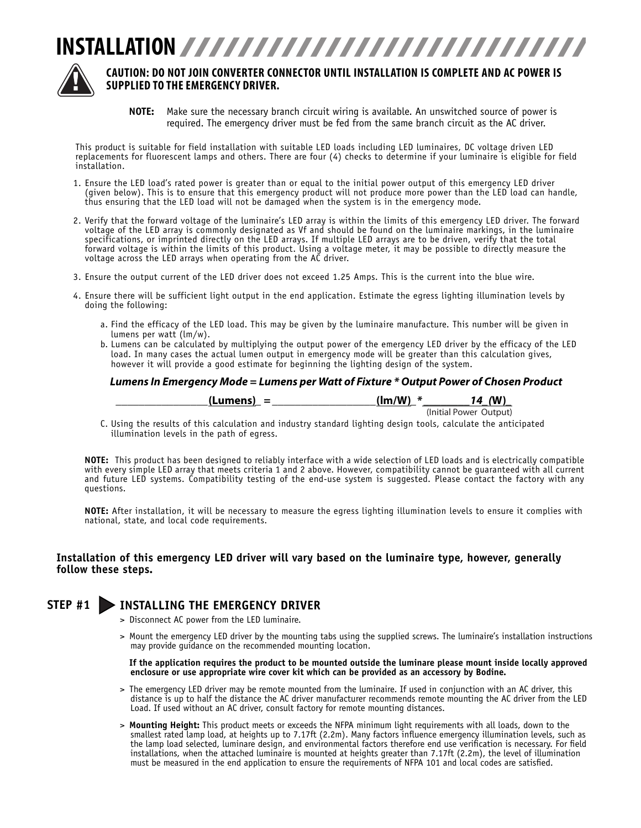



#### **CAUTION: DO NOT JOIN CONVERTER CONNECTOR UNTIL INSTALLATION IS COMPLETE AND AC POWER IS SUPPLIED TO THE EMERGENCY DRIVER.**

**NOTE:** Make sure the necessary branch circuit wiring is available. An unswitched source of power is required. The emergency driver must be fed from the same branch circuit as the AC driver.

This product is suitable for field installation with suitable LED loads including LED luminaires, DC voltage driven LED replacements for fluorescent lamps and others. There are four (4) checks to determine if your luminaire is eligible for field installation.

- 1. Ensure the LED load's rated power is greater than or equal to the initial power output of this emergency LED driver (given below). This is to ensure that this emergency product will not produce more power than the LED load can handle, thus ensuring that the LED load will not be damaged when the system is in the emergency mode.
- 2. Verify that the forward voltage of the luminaire's LED array is within the limits of this emergency LED driver. The forward voltage of the LED array is commonly designated as Vf and should be found on the luminaire markings, in the luminaire specifications, or imprinted directly on the LED arrays. If multiple LED arrays are to be driven, verify that the total forward voltage is within the limits of this product. Using a voltage meter, it may be possible to directly measure the voltage across the LED arrays when operating from the AC driver.
- 3. Ensure the output current of the LED driver does not exceed 1.25 Amps. This is the current into the blue wire.
- 4. Ensure there will be sufficient light output in the end application. Estimate the egress lighting illumination levels by doing the following:
	- a. Find the efficacy of the LED load. This may be given by the luminaire manufacture. This number will be given in lumens per watt (lm/w).
	- b. Lumens can be calculated by multiplying the output power of the emergency LED driver by the efficacy of the LED load. In many cases the actual lumen output in emergency mode will be greater than this calculation gives, however it will provide a good estimate for beginning the lighting design of the system.

#### *Lumens In Emergency Mode = Lumens per Watt of Fixture \* Output Power of Chosen Product*

| (Lumens)<br>- | (lm/W)<br>ж | $\mathbf{M}$<br>$\overline{\phantom{a}}$ |
|---------------|-------------|------------------------------------------|
|               |             | (Initial Power Output)                   |

 C. Using the results of this calculation and industry standard lighting design tools, calculate the anticipated illumination levels in the path of egress.

**NOTE:** This product has been designed to reliably interface with a wide selection of LED loads and is electrically compatible with every simple LED array that meets criteria 1 and 2 above. However, compatibility cannot be guaranteed with all current and future LED systems. Compatibility testing of the end-use system is suggested. Please contact the factory with any questions.

**NOTE:** After installation, it will be necessary to measure the egress lighting illumination levels to ensure it complies with national, state, and local code requirements.

#### **Installation of this emergency LED driver will vary based on the luminaire type, however, generally follow these steps.**

#### **STEP #1 INSTALLING THE EMERGENCY DRIVER**

- > Disconnect AC power from the LED luminaire.
- > Mount the emergency LED driver by the mounting tabs using the supplied screws. The luminaire's installation instructions may provide guidance on the recommended mounting location.

**If the application requires the product to be mounted outside the luminare please mount inside locally approved enclosure or use appropriate wire cover kit which can be provided as an accessory by Bodine.**

- > The emergency LED driver may be remote mounted from the luminaire. If used in conjunction with an AC driver, this distance is up to half the distance the AC driver manufacturer recommends remote mounting the AC driver from the LED Load. If used without an AC driver, consult factory for remote mounting distances.
- > **Mounting Height:** This product meets or exceeds the NFPA minimum light requirements with all loads, down to the smallest rated lamp load, at heights up to 7.17ft (2.2m). Many factors influence emergency illumination levels, such as the lamp load selected, luminare design, and environmental factors therefore end use verification is necessary. For field installations, when the attached luminaire is mounted at heights greater than 7.17ft (2.2m), the level of illumination must be measured in the end application to ensure the requirements of NFPA 101 and local codes are satisfied.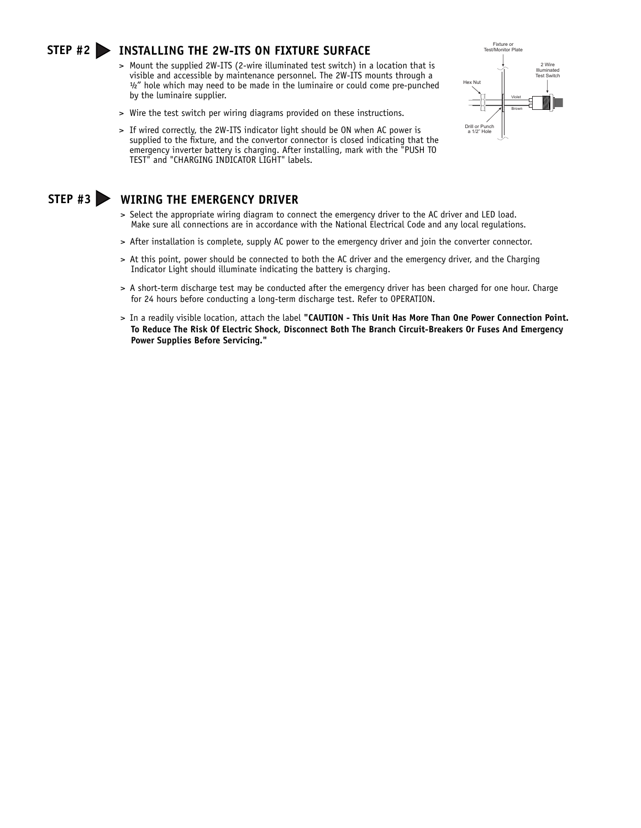#### **STEP #2 INSTALLING THE 2W-ITS ON FIXTURE SURFACE**

- > Mount the supplied 2W-ITS (2-wire illuminated test switch) in a location that is visible and accessible by maintenance personnel. The 2W-ITS mounts through a ½" hole which may need to be made in the luminaire or could come pre-punched by the luminaire supplier.
- > Wire the test switch per wiring diagrams provided on these instructions.
- > If wired correctly, the 2W-ITS indicator light should be ON when AC power is supplied to the fixture, and the convertor connector is closed indicating that the emergency inverter battery is charging. After installing, mark with the "PUSH TO TEST" and "CHARGING INDICATOR LIGHT" labels.



#### **STEP #3 WIRING THE EMERGENCY DRIVER**

- > Select the appropriate wiring diagram to connect the emergency driver to the AC driver and LED load. Make sure all connections are in accordance with the National Electrical Code and any local regulations.
- > After installation is complete, supply AC power to the emergency driver and join the converter connector.
- > At this point, power should be connected to both the AC driver and the emergency driver, and the Charging Indicator Light should illuminate indicating the battery is charging.
- > A short-term discharge test may be conducted after the emergency driver has been charged for one hour. Charge for 24 hours before conducting a long-term discharge test. Refer to OPERATION.
- > In a readily visible location, attach the label **"CAUTION This Unit Has More Than One Power Connection Point. To Reduce The Risk Of Electric Shock, Disconnect Both The Branch Circuit-Breakers Or Fuses And Emergency Power Supplies Before Servicing."**